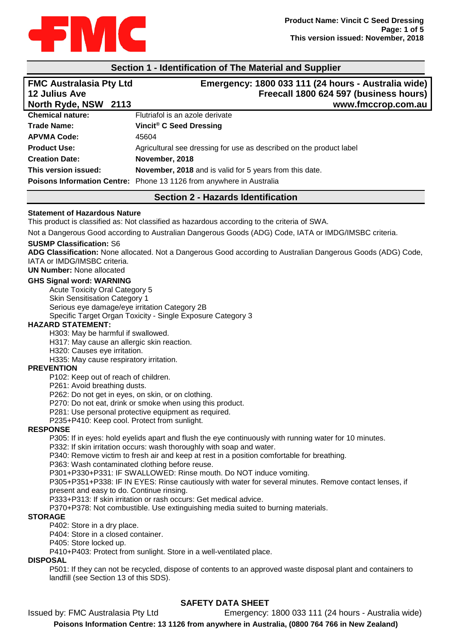

## **Section 1 - Identification of The Material and Supplier**

| <b>FMC Australasia Pty Ltd</b><br><b>12 Julius Ave</b> | Emergency: 1800 033 111 (24 hours - Australia wide)<br>Freecall 1800 624 597 (business hours) |
|--------------------------------------------------------|-----------------------------------------------------------------------------------------------|
| North Ryde, NSW 2113                                   | www.fmccrop.com.au                                                                            |
| <b>Chemical nature:</b>                                | Flutriafol is an azole derivate                                                               |
| <b>Trade Name:</b>                                     | Vincit® C Seed Dressing                                                                       |
| <b>APVMA Code:</b>                                     | 45604                                                                                         |
| <b>Product Use:</b>                                    | Agricultural see dressing for use as described on the product label                           |
| <b>Creation Date:</b>                                  | November, 2018                                                                                |
| This version issued:                                   | November, 2018 and is valid for 5 years from this date.                                       |
|                                                        | Poisons Information Centre: Phone 13 1126 from anywhere in Australia                          |

# **Section 2 - Hazards Identification**

### **Statement of Hazardous Nature**

This product is classified as: Not classified as hazardous according to the criteria of SWA.

Not a Dangerous Good according to Australian Dangerous Goods (ADG) Code, IATA or IMDG/IMSBC criteria.

### **SUSMP Classification:** S6

**ADG Classification:** None allocated. Not a Dangerous Good according to Australian Dangerous Goods (ADG) Code, IATA or IMDG/IMSBC criteria.

**UN Number:** None allocated

### **GHS Signal word: WARNING**

Acute Toxicity Oral Category 5 Skin Sensitisation Category 1 Serious eye damage/eye irritation Category 2B Specific Target Organ Toxicity - Single Exposure Category 3

### **HAZARD STATEMENT:**

H303: May be harmful if swallowed.

H317: May cause an allergic skin reaction.

H320: Causes eye irritation.

H335: May cause respiratory irritation.

### **PREVENTION**

P102: Keep out of reach of children.

P261: Avoid breathing dusts.

P262: Do not get in eyes, on skin, or on clothing.

P270: Do not eat, drink or smoke when using this product.

P281: Use personal protective equipment as required.

P235+P410: Keep cool. Protect from sunlight.

# **RESPONSE**

P305: If in eyes: hold eyelids apart and flush the eye continuously with running water for 10 minutes.

P332: If skin irritation occurs: wash thoroughly with soap and water.

P340: Remove victim to fresh air and keep at rest in a position comfortable for breathing.

P363: Wash contaminated clothing before reuse.

P301+P330+P331: IF SWALLOWED: Rinse mouth. Do NOT induce vomiting.

P305+P351+P338: IF IN EYES: Rinse cautiously with water for several minutes. Remove contact lenses, if present and easy to do. Continue rinsing.

P333+P313: If skin irritation or rash occurs: Get medical advice.

P370+P378: Not combustible. Use extinguishing media suited to burning materials.

### **STORAGE**

P402: Store in a dry place.

P404: Store in a closed container.

P405: Store locked up.

P410+P403: Protect from sunlight. Store in a well-ventilated place.

### **DISPOSAL**

P501: If they can not be recycled, dispose of contents to an approved waste disposal plant and containers to landfill (see Section 13 of this SDS).

## **SAFETY DATA SHEET**

Issued by: FMC Australasia Pty Ltd Emergency: 1800 033 111 (24 hours - Australia wide) **Poisons Information Centre: 13 1126 from anywhere in Australia, (0800 764 766 in New Zealand)**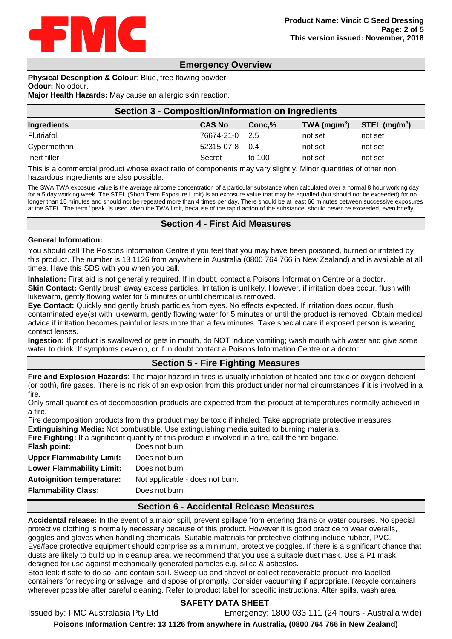

## **Emergency Overview**

**Physical Description & Colour**: Blue, free flowing powder **Odour:** No odour. **Major Health Hazards:** May cause an allergic skin reaction.

| Section 3 - Composition/Information on Ingredients |                |           |                 |                             |
|----------------------------------------------------|----------------|-----------|-----------------|-----------------------------|
| <b>Ingredients</b>                                 | <b>CAS No</b>  | $Conc.$ % | TWA ( $mg/m3$ ) | $STEL$ (mg/m <sup>3</sup> ) |
| Flutriafol                                         | 76674-21-0 2.5 |           | not set         | not set                     |
| Cypermethrin                                       | 52315-07-8     | 0.4       | not set         | not set                     |
| Inert filler                                       | Secret         | to 100    | not set         | not set                     |

This is a commercial product whose exact ratio of components may vary slightly. Minor quantities of other non hazardous ingredients are also possible.

The SWA TWA exposure value is the average airborne concentration of a particular substance when calculated over a normal 8 hour working day for a 5 day working week. The STEL (Short Term Exposure Limit) is an exposure value that may be equalled (but should not be exceeded) for no longer than 15 minutes and should not be repeated more than 4 times per day. There should be at least 60 minutes between successive exposures at the STEL. The term "peak "is used when the TWA limit, because of the rapid action of the substance, should never be exceeded, even briefly.

## **Section 4 - First Aid Measures**

### **General Information:**

You should call The Poisons Information Centre if you feel that you may have been poisoned, burned or irritated by this product. The number is 13 1126 from anywhere in Australia (0800 764 766 in New Zealand) and is available at all times. Have this SDS with you when you call.

**Inhalation:** First aid is not generally required. If in doubt, contact a Poisons Information Centre or a doctor. **Skin Contact:** Gently brush away excess particles. Irritation is unlikely. However, if irritation does occur, flush with lukewarm, gently flowing water for 5 minutes or until chemical is removed.

**Eye Contact:** Quickly and gently brush particles from eyes. No effects expected. If irritation does occur, flush contaminated eye(s) with lukewarm, gently flowing water for 5 minutes or until the product is removed. Obtain medical advice if irritation becomes painful or lasts more than a few minutes. Take special care if exposed person is wearing contact lenses.

**Ingestion:** If product is swallowed or gets in mouth, do NOT induce vomiting; wash mouth with water and give some water to drink. If symptoms develop, or if in doubt contact a Poisons Information Centre or a doctor.

# **Section 5 - Fire Fighting Measures**

**Fire and Explosion Hazards**: The major hazard in fires is usually inhalation of heated and toxic or oxygen deficient (or both), fire gases. There is no risk of an explosion from this product under normal circumstances if it is involved in a fire.

Only small quantities of decomposition products are expected from this product at temperatures normally achieved in a fire.

Fire decomposition products from this product may be toxic if inhaled. Take appropriate protective measures.

**Extinguishing Media:** Not combustible. Use extinguishing media suited to burning materials.

**Fire Fighting:** If a significant quantity of this product is involved in a fire, call the fire brigade.

| Flash point:                     | Does not burn.                  |
|----------------------------------|---------------------------------|
| <b>Upper Flammability Limit:</b> | Does not burn.                  |
| <b>Lower Flammability Limit:</b> | Does not burn.                  |
| <b>Autoignition temperature:</b> | Not applicable - does not burn. |
| <b>Flammability Class:</b>       | Does not burn.                  |
|                                  |                                 |

## **Section 6 - Accidental Release Measures**

**Accidental release:** In the event of a major spill, prevent spillage from entering drains or water courses. No special protective clothing is normally necessary because of this product. However it is good practice to wear overalls, goggles and gloves when handling chemicals. Suitable materials for protective clothing include rubber, PVC.. Eye/face protective equipment should comprise as a minimum, protective goggles. If there is a significant chance that dusts are likely to build up in cleanup area, we recommend that you use a suitable dust mask. Use a P1 mask, designed for use against mechanically generated particles e.g. silica & asbestos.

Stop leak if safe to do so, and contain spill. Sweep up and shovel or collect recoverable product into labelled containers for recycling or salvage, and dispose of promptly. Consider vacuuming if appropriate. Recycle containers wherever possible after careful cleaning. Refer to product label for specific instructions. After spills, wash area

## **SAFETY DATA SHEET**

Issued by: FMC Australasia Pty Ltd Emergency: 1800 033 111 (24 hours - Australia wide) **Poisons Information Centre: 13 1126 from anywhere in Australia, (0800 764 766 in New Zealand)**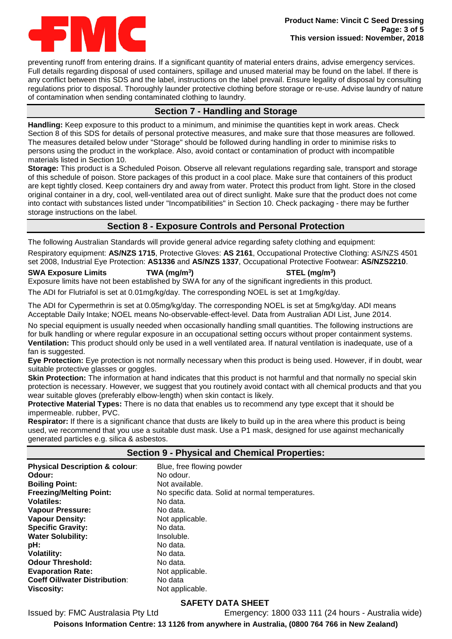

preventing runoff from entering drains. If a significant quantity of material enters drains, advise emergency services. Full details regarding disposal of used containers, spillage and unused material may be found on the label. If there is any conflict between this SDS and the label, instructions on the label prevail. Ensure legality of disposal by consulting regulations prior to disposal. Thoroughly launder protective clothing before storage or re-use. Advise laundry of nature of contamination when sending contaminated clothing to laundry.

# **Section 7 - Handling and Storage**

**Handling:** Keep exposure to this product to a minimum, and minimise the quantities kept in work areas. Check Section 8 of this SDS for details of personal protective measures, and make sure that those measures are followed. The measures detailed below under "Storage" should be followed during handling in order to minimise risks to persons using the product in the workplace. Also, avoid contact or contamination of product with incompatible materials listed in Section 10.

**Storage:** This product is a Scheduled Poison. Observe all relevant regulations regarding sale, transport and storage of this schedule of poison. Store packages of this product in a cool place. Make sure that containers of this product are kept tightly closed. Keep containers dry and away from water. Protect this product from light. Store in the closed original container in a dry, cool, well-ventilated area out of direct sunlight. Make sure that the product does not come into contact with substances listed under "Incompatibilities" in Section 10. Check packaging - there may be further storage instructions on the label.

# **Section 8 - Exposure Controls and Personal Protection**

The following Australian Standards will provide general advice regarding safety clothing and equipment:

Respiratory equipment: **AS/NZS 1715**, Protective Gloves: **AS 2161**, Occupational Protective Clothing: AS/NZS 4501 set 2008, Industrial Eye Protection: **AS1336** and **AS/NZS 1337**, Occupational Protective Footwear: **AS/NZS2210**.

## **SWA Exposure Limits TWA (mg/m3) STEL (mg/m3)**

Exposure limits have not been established by SWA for any of the significant ingredients in this product.

The ADI for Flutriafol is set at 0.01mg/kg/day. The corresponding NOEL is set at 1mg/kg/day.

The ADI for Cypermethrin is set at 0.05mg/kg/day. The corresponding NOEL is set at 5mg/kg/day. ADI means Acceptable Daily Intake; NOEL means No-observable-effect-level. Data from Australian ADI List, June 2014.

No special equipment is usually needed when occasionally handling small quantities. The following instructions are for bulk handling or where regular exposure in an occupational setting occurs without proper containment systems. **Ventilation:** This product should only be used in a well ventilated area. If natural ventilation is inadequate, use of a fan is suggested.

**Eye Protection:** Eye protection is not normally necessary when this product is being used. However, if in doubt, wear suitable protective glasses or goggles.

**Skin Protection:** The information at hand indicates that this product is not harmful and that normally no special skin protection is necessary. However, we suggest that you routinely avoid contact with all chemical products and that you wear suitable gloves (preferably elbow-length) when skin contact is likely.

**Protective Material Types:** There is no data that enables us to recommend any type except that it should be impermeable. rubber, PVC.

**Respirator:** If there is a significant chance that dusts are likely to build up in the area where this product is being used, we recommend that you use a suitable dust mask. Use a P1 mask, designed for use against mechanically generated particles e.g. silica & asbestos.

| <b>Section 9 - Physical and Chemical Properties:</b> |                                                 |  |  |
|------------------------------------------------------|-------------------------------------------------|--|--|
| <b>Physical Description &amp; colour:</b>            | Blue, free flowing powder                       |  |  |
| Odour:                                               | No odour.                                       |  |  |
| <b>Boiling Point:</b>                                | Not available.                                  |  |  |
| <b>Freezing/Melting Point:</b>                       | No specific data. Solid at normal temperatures. |  |  |
| <b>Volatiles:</b>                                    | No data.                                        |  |  |
| <b>Vapour Pressure:</b>                              | No data.                                        |  |  |
| <b>Vapour Density:</b>                               | Not applicable.                                 |  |  |
| <b>Specific Gravity:</b>                             | No data.                                        |  |  |
| <b>Water Solubility:</b>                             | Insoluble.                                      |  |  |
| pH:                                                  | No data.                                        |  |  |
| <b>Volatility:</b>                                   | No data.                                        |  |  |
| <b>Odour Threshold:</b>                              | No data.                                        |  |  |
| <b>Evaporation Rate:</b>                             | Not applicable.                                 |  |  |
| <b>Coeff Oil/water Distribution:</b>                 | No data                                         |  |  |
| Viscosity:                                           | Not applicable.                                 |  |  |

# **SAFETY DATA SHEET**

Issued by: FMC Australasia Pty Ltd Emergency: 1800 033 111 (24 hours - Australia wide)

**Poisons Information Centre: 13 1126 from anywhere in Australia, (0800 764 766 in New Zealand)**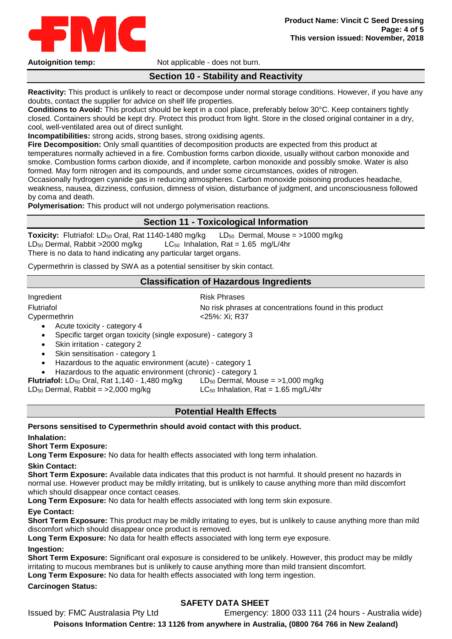

Autoignition temp: Not applicable - does not burn.

# **Section 10 - Stability and Reactivity**

**Reactivity:** This product is unlikely to react or decompose under normal storage conditions. However, if you have any doubts, contact the supplier for advice on shelf life properties.

**Conditions to Avoid:** This product should be kept in a cool place, preferably below 30°C. Keep containers tightly closed. Containers should be kept dry. Protect this product from light. Store in the closed original container in a dry, cool, well-ventilated area out of direct sunlight.

**Incompatibilities:** strong acids, strong bases, strong oxidising agents.

**Fire Decomposition:** Only small quantities of decomposition products are expected from this product at temperatures normally achieved in a fire. Combustion forms carbon dioxide, usually without carbon monoxide and smoke. Combustion forms carbon dioxide, and if incomplete, carbon monoxide and possibly smoke. Water is also formed. May form nitrogen and its compounds, and under some circumstances, oxides of nitrogen.

Occasionally hydrogen cyanide gas in reducing atmospheres. Carbon monoxide poisoning produces headache, weakness, nausea, dizziness, confusion, dimness of vision, disturbance of judgment, and unconsciousness followed by coma and death.

**Polymerisation:** This product will not undergo polymerisation reactions.

## **Section 11 - Toxicological Information**

**Toxicity:** Flutriafol: LD<sub>50</sub> Oral, Rat 1140-1480 mg/kg LD<sub>50</sub> Dermal, Mouse = >1000 mg/kg LD<sub>50</sub> Dermal, Rabbit > 2000 mg/kg LC<sub>50</sub> Inhalation, Rat = 1.65 mg/L/4hr There is no data to hand indicating any particular target organs.

Cypermethrin is classed by SWA as a potential sensitiser by skin contact.

## **Classification of Hazardous Ingredients**

Ingredient **Risk Phrases** 

Flutriafol **Fultriafol** No risk phrases at concentrations found in this product Cypermethrin <25%: Xi; R37

- Acute toxicity category 4
- Specific target organ toxicity (single exposure) category 3
- Skin irritation category 2
- Skin sensitisation category 1
- Hazardous to the aquatic environment (acute) category 1
- Hazardous to the aquatic environment (chronic) category 1

**Flutriafol:** LD<sub>50</sub> Oral, Rat 1,140 - 1,480 mg/kg LD<sub>50</sub> Dermal, Mouse =  $>1,000$  mg/kg LD<sub>50</sub> Dermal, Rabbit =  $>2,000$  mg/kg LC<sub>50</sub> Inhalation, Rat = 1.65 mg/L/4hr

# **Potential Health Effects**

## **Persons sensitised to Cypermethrin should avoid contact with this product.**

## **Inhalation:**

**Short Term Exposure:**

**Long Term Exposure:** No data for health effects associated with long term inhalation.

### **Skin Contact:**

**Short Term Exposure:** Available data indicates that this product is not harmful. It should present no hazards in normal use. However product may be mildly irritating, but is unlikely to cause anything more than mild discomfort which should disappear once contact ceases.

**Long Term Exposure:** No data for health effects associated with long term skin exposure.

## **Eye Contact:**

**Short Term Exposure:** This product may be mildly irritating to eyes, but is unlikely to cause anything more than mild discomfort which should disappear once product is removed.

**Long Term Exposure:** No data for health effects associated with long term eye exposure.

# **Ingestion:**

**Short Term Exposure:** Significant oral exposure is considered to be unlikely. However, this product may be mildly irritating to mucous membranes but is unlikely to cause anything more than mild transient discomfort.

**Long Term Exposure:** No data for health effects associated with long term ingestion.

**Carcinogen Status:**

# **SAFETY DATA SHEET**

Issued by: FMC Australasia Pty Ltd Emergency: 1800 033 111 (24 hours - Australia wide)

**Poisons Information Centre: 13 1126 from anywhere in Australia, (0800 764 766 in New Zealand)**